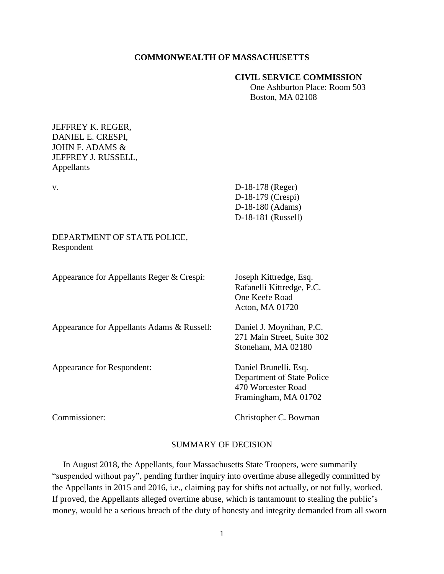### **COMMONWEALTH OF MASSACHUSETTS**

## **CIVIL SERVICE COMMISSION**

 One Ashburton Place: Room 503 Boston, MA 02108

## JEFFREY K. REGER, DANIEL E. CRESPI, JOHN F. ADAMS & JEFFREY J. RUSSELL, Appellants

v. D-18-178 (Reger) D-18-179 (Crespi) D-18-180 (Adams) D-18-181 (Russell)

## DEPARTMENT OF STATE POLICE, Respondent

| Appearance for Appellants Reger & Crespi:  | Joseph Kittredge, Esq.<br>Rafanelli Kittredge, P.C.<br>One Keefe Road<br>Acton, MA 01720          |
|--------------------------------------------|---------------------------------------------------------------------------------------------------|
| Appearance for Appellants Adams & Russell: | Daniel J. Moynihan, P.C.<br>271 Main Street, Suite 302<br>Stoneham, MA 02180                      |
| Appearance for Respondent:                 | Daniel Brunelli, Esq.<br>Department of State Police<br>470 Worcester Road<br>Framingham, MA 01702 |
| Commissioner:                              | Christopher C. Bowman                                                                             |

### SUMMARY OF DECISION

 In August 2018, the Appellants, four Massachusetts State Troopers, were summarily "suspended without pay", pending further inquiry into overtime abuse allegedly committed by the Appellants in 2015 and 2016, i.e., claiming pay for shifts not actually, or not fully, worked. If proved, the Appellants alleged overtime abuse, which is tantamount to stealing the public's money, would be a serious breach of the duty of honesty and integrity demanded from all sworn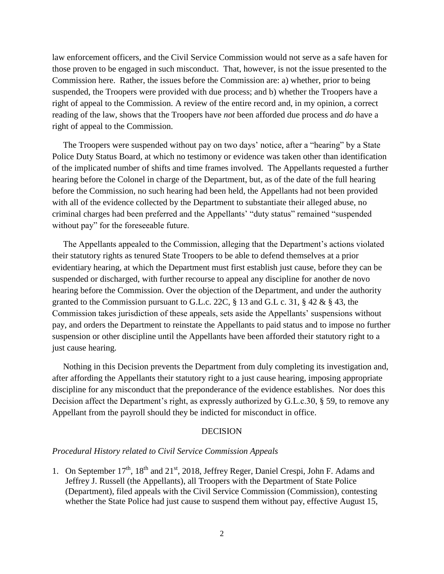law enforcement officers, and the Civil Service Commission would not serve as a safe haven for those proven to be engaged in such misconduct. That, however, is not the issue presented to the Commission here. Rather, the issues before the Commission are: a) whether, prior to being suspended, the Troopers were provided with due process; and b) whether the Troopers have a right of appeal to the Commission. A review of the entire record and, in my opinion, a correct reading of the law, shows that the Troopers have *not* been afforded due process and *do* have a right of appeal to the Commission.

 The Troopers were suspended without pay on two days' notice, after a "hearing" by a State Police Duty Status Board, at which no testimony or evidence was taken other than identification of the implicated number of shifts and time frames involved. The Appellants requested a further hearing before the Colonel in charge of the Department, but, as of the date of the full hearing before the Commission, no such hearing had been held, the Appellants had not been provided with all of the evidence collected by the Department to substantiate their alleged abuse, no criminal charges had been preferred and the Appellants' "duty status" remained "suspended without pay" for the foreseeable future.

 The Appellants appealed to the Commission, alleging that the Department's actions violated their statutory rights as tenured State Troopers to be able to defend themselves at a prior evidentiary hearing, at which the Department must first establish just cause, before they can be suspended or discharged, with further recourse to appeal any discipline for another de novo hearing before the Commission. Over the objection of the Department, and under the authority granted to the Commission pursuant to G.L.c. 22C,  $\S$  13 and G.L c. 31,  $\S$  42 &  $\S$  43, the Commission takes jurisdiction of these appeals, sets aside the Appellants' suspensions without pay, and orders the Department to reinstate the Appellants to paid status and to impose no further suspension or other discipline until the Appellants have been afforded their statutory right to a just cause hearing.

 Nothing in this Decision prevents the Department from duly completing its investigation and, after affording the Appellants their statutory right to a just cause hearing, imposing appropriate discipline for any misconduct that the preponderance of the evidence establishes. Nor does this Decision affect the Department's right, as expressly authorized by G.L.c.30, § 59, to remove any Appellant from the payroll should they be indicted for misconduct in office.

## DECISION

#### *Procedural History related to Civil Service Commission Appeals*

1. On September  $17<sup>th</sup>$ ,  $18<sup>th</sup>$  and  $21<sup>st</sup>$ ,  $2018$ , Jeffrey Reger, Daniel Crespi, John F. Adams and Jeffrey J. Russell (the Appellants), all Troopers with the Department of State Police (Department), filed appeals with the Civil Service Commission (Commission), contesting whether the State Police had just cause to suspend them without pay, effective August 15,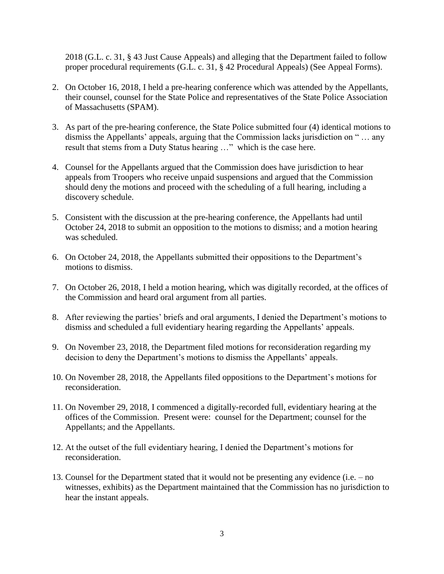2018 (G.L. c. 31, § 43 Just Cause Appeals) and alleging that the Department failed to follow proper procedural requirements (G.L. c. 31, § 42 Procedural Appeals) (See Appeal Forms).

- 2. On October 16, 2018, I held a pre-hearing conference which was attended by the Appellants, their counsel, counsel for the State Police and representatives of the State Police Association of Massachusetts (SPAM).
- 3. As part of the pre-hearing conference, the State Police submitted four (4) identical motions to dismiss the Appellants' appeals, arguing that the Commission lacks jurisdiction on " … any result that stems from a Duty Status hearing …" which is the case here.
- 4. Counsel for the Appellants argued that the Commission does have jurisdiction to hear appeals from Troopers who receive unpaid suspensions and argued that the Commission should deny the motions and proceed with the scheduling of a full hearing, including a discovery schedule.
- 5. Consistent with the discussion at the pre-hearing conference, the Appellants had until October 24, 2018 to submit an opposition to the motions to dismiss; and a motion hearing was scheduled.
- 6. On October 24, 2018, the Appellants submitted their oppositions to the Department's motions to dismiss.
- 7. On October 26, 2018, I held a motion hearing, which was digitally recorded, at the offices of the Commission and heard oral argument from all parties.
- 8. After reviewing the parties' briefs and oral arguments, I denied the Department's motions to dismiss and scheduled a full evidentiary hearing regarding the Appellants' appeals.
- 9. On November 23, 2018, the Department filed motions for reconsideration regarding my decision to deny the Department's motions to dismiss the Appellants' appeals.
- 10. On November 28, 2018, the Appellants filed oppositions to the Department's motions for reconsideration.
- 11. On November 29, 2018, I commenced a digitally-recorded full, evidentiary hearing at the offices of the Commission. Present were: counsel for the Department; counsel for the Appellants; and the Appellants.
- 12. At the outset of the full evidentiary hearing, I denied the Department's motions for reconsideration.
- 13. Counsel for the Department stated that it would not be presenting any evidence (i.e. no witnesses, exhibits) as the Department maintained that the Commission has no jurisdiction to hear the instant appeals.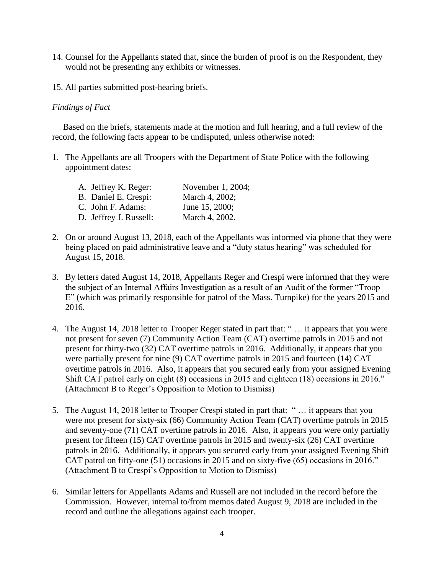- 14. Counsel for the Appellants stated that, since the burden of proof is on the Respondent, they would not be presenting any exhibits or witnesses.
- 15. All parties submitted post-hearing briefs.

# *Findings of Fact*

Based on the briefs, statements made at the motion and full hearing, and a full review of the record, the following facts appear to be undisputed, unless otherwise noted:

1. The Appellants are all Troopers with the Department of State Police with the following appointment dates:

| A. Jeffrey K. Reger:   | November 1, 2004; |
|------------------------|-------------------|
| B. Daniel E. Crespi:   | March 4, 2002;    |
| C. John F. Adams:      | June 15, 2000;    |
| D. Jeffrey J. Russell: | March 4, 2002.    |

- 2. On or around August 13, 2018, each of the Appellants was informed via phone that they were being placed on paid administrative leave and a "duty status hearing" was scheduled for August 15, 2018.
- 3. By letters dated August 14, 2018, Appellants Reger and Crespi were informed that they were the subject of an Internal Affairs Investigation as a result of an Audit of the former "Troop E" (which was primarily responsible for patrol of the Mass. Turnpike) for the years 2015 and 2016.
- 4. The August 14, 2018 letter to Trooper Reger stated in part that: " … it appears that you were not present for seven (7) Community Action Team (CAT) overtime patrols in 2015 and not present for thirty-two (32) CAT overtime patrols in 2016. Additionally, it appears that you were partially present for nine (9) CAT overtime patrols in 2015 and fourteen (14) CAT overtime patrols in 2016. Also, it appears that you secured early from your assigned Evening Shift CAT patrol early on eight (8) occasions in 2015 and eighteen (18) occasions in 2016." (Attachment B to Reger's Opposition to Motion to Dismiss)
- 5. The August 14, 2018 letter to Trooper Crespi stated in part that: " … it appears that you were not present for sixty-six (66) Community Action Team (CAT) overtime patrols in 2015 and seventy-one (71) CAT overtime patrols in 2016. Also, it appears you were only partially present for fifteen (15) CAT overtime patrols in 2015 and twenty-six (26) CAT overtime patrols in 2016. Additionally, it appears you secured early from your assigned Evening Shift CAT patrol on fifty-one (51) occasions in 2015 and on sixty-five (65) occasions in 2016." (Attachment B to Crespi's Opposition to Motion to Dismiss)
- 6. Similar letters for Appellants Adams and Russell are not included in the record before the Commission. However, internal to/from memos dated August 9, 2018 are included in the record and outline the allegations against each trooper.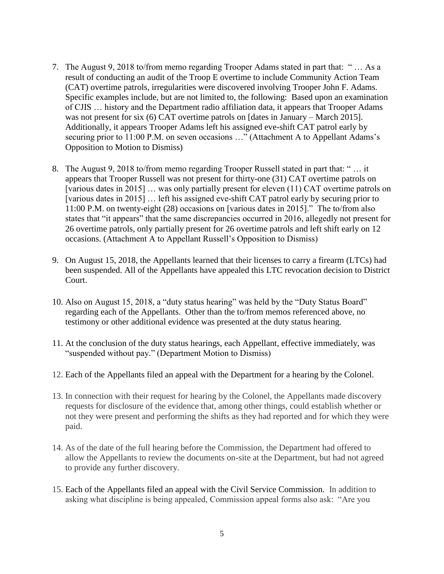- 7. The August 9, 2018 to/from memo regarding Trooper Adams stated in part that: " … As a result of conducting an audit of the Troop E overtime to include Community Action Team (CAT) overtime patrols, irregularities were discovered involving Trooper John F. Adams. Specific examples include, but are not limited to, the following: Based upon an examination of CJIS … history and the Department radio affiliation data, it appears that Trooper Adams was not present for six (6) CAT overtime patrols on [dates in January – March 2015]. Additionally, it appears Trooper Adams left his assigned eve-shift CAT patrol early by securing prior to 11:00 P.M. on seven occasions ..." (Attachment A to Appellant Adams's Opposition to Motion to Dismiss)
- 8. The August 9, 2018 to/from memo regarding Trooper Russell stated in part that: " … it appears that Trooper Russell was not present for thirty-one (31) CAT overtime patrols on [various dates in 2015] … was only partially present for eleven (11) CAT overtime patrols on [various dates in 2015] … left his assigned eve-shift CAT patrol early by securing prior to 11:00 P.M. on twenty-eight (28) occasions on [various dates in 2015]." The to/from also states that "it appears" that the same discrepancies occurred in 2016, allegedly not present for 26 overtime patrols, only partially present for 26 overtime patrols and left shift early on 12 occasions. (Attachment A to Appellant Russell's Opposition to Dismiss)
- 9. On August 15, 2018, the Appellants learned that their licenses to carry a firearm (LTCs) had been suspended. All of the Appellants have appealed this LTC revocation decision to District Court.
- 10. Also on August 15, 2018, a "duty status hearing" was held by the "Duty Status Board" regarding each of the Appellants. Other than the to/from memos referenced above, no testimony or other additional evidence was presented at the duty status hearing.
- 11. At the conclusion of the duty status hearings, each Appellant, effective immediately, was "suspended without pay." (Department Motion to Dismiss)
- 12. Each of the Appellants filed an appeal with the Department for a hearing by the Colonel.
- 13. In connection with their request for hearing by the Colonel, the Appellants made discovery requests for disclosure of the evidence that, among other things, could establish whether or not they were present and performing the shifts as they had reported and for which they were paid.
- 14. As of the date of the full hearing before the Commission, the Department had offered to allow the Appellants to review the documents on-site at the Department, but had not agreed to provide any further discovery.
- 15. Each of the Appellants filed an appeal with the Civil Service Commission. In addition to asking what discipline is being appealed, Commission appeal forms also ask: "Are you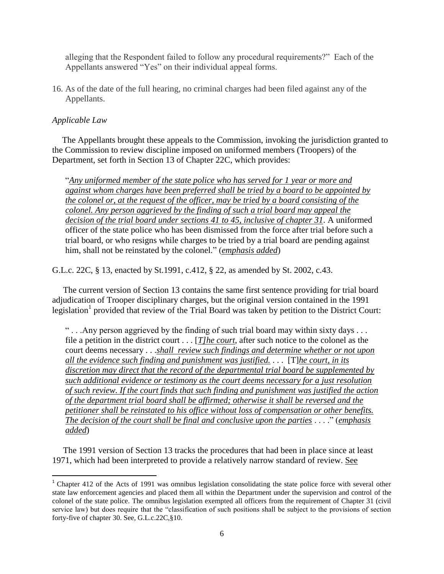alleging that the Respondent failed to follow any procedural requirements?" Each of the Appellants answered "Yes" on their individual appeal forms.

16. As of the date of the full hearing, no criminal charges had been filed against any of the Appellants.

# *Applicable Law*

The Appellants brought these appeals to the Commission, invoking the jurisdiction granted to the Commission to review discipline imposed on uniformed members (Troopers) of the Department, set forth in Section 13 of Chapter 22C, which provides:

"*Any uniformed member of the state police who has served for 1 year or more and against whom charges have been preferred shall be tried by a board to be appointed by the colonel or, at the request of the officer, may be tried by a board consisting of the colonel. Any person aggrieved by the finding of such a trial board may appeal the decision of the trial board under sections 41 to 45, inclusive of chapter 31*. A uniformed officer of the state police who has been dismissed from the force after trial before such a trial board, or who resigns while charges to be tried by a trial board are pending against him, shall not be reinstated by the colonel." (*emphasis added*)

G.L.c. 22C, § 13, enacted by St.1991, c.412, § 22, as amended by St. 2002, c.43.

 The current version of Section 13 contains the same first sentence providing for trial board adjudication of Trooper disciplinary charges, but the original version contained in the 1991 legislation<sup>1</sup> provided that review of the Trial Board was taken by petition to the District Court:

" . . .Any person aggrieved by the finding of such trial board may within sixty days . . . file a petition in the district court . . . [*T]he court*, after such notice to the colonel as the court deems necessary . . .*shall review such findings and determine whether or not upon all the evidence such finding and punishment was justified.* . . . [T]*he court, in its discretion may direct that the record of the departmental trial board be supplemented by such additional evidence or testimony as the court deems necessary for a just resolution of such review. If the court finds that such finding and punishment was justified the action of the department trial board shall be affirmed; otherwise it shall be reversed and the petitioner shall be reinstated to his office without loss of compensation or other benefits. The decision of the court shall be final and conclusive upon the parties* . . . ." (*emphasis added*)

 The 1991 version of Section 13 tracks the procedures that had been in place since at least 1971, which had been interpreted to provide a relatively narrow standard of review. See

<sup>&</sup>lt;sup>1</sup> Chapter 412 of the Acts of 1991 was omnibus legislation consolidating the state police force with several other state law enforcement agencies and placed them all within the Department under the supervision and control of the colonel of the state police. The omnibus legislation exempted all officers from the requirement of Chapter 31 (civil service law) but does require that the "classification of such positions shall be subject to the provisions of section forty-five of chapter 30. See, G.L.c.22C,§10.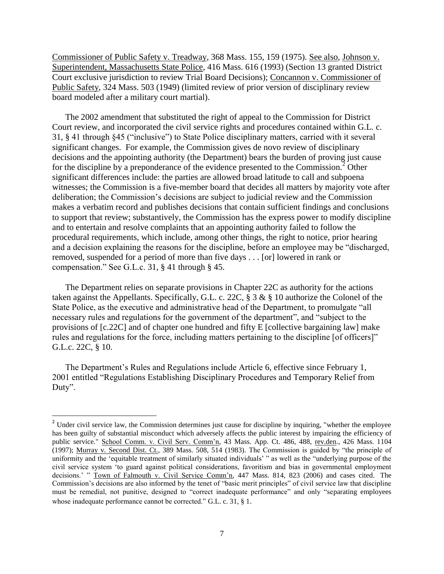Commissioner of Public Safety v. Treadway, 368 Mass. 155, 159 (1975). See also, Johnson v. Superintendent, Massachusetts State Police, 416 Mass. 616 (1993) (Section 13 granted District Court exclusive jurisdiction to review Trial Board Decisions); Concannon v. Commissioner of Public Safety, 324 Mass. 503 (1949) (limited review of prior version of disciplinary review board modeled after a military court martial).

The 2002 amendment that substituted the right of appeal to the Commission for District Court review, and incorporated the civil service rights and procedures contained within G.L. c. 31, § 41 through §45 ("inclusive") to State Police disciplinary matters, carried with it several significant changes. For example, the Commission gives de novo review of disciplinary decisions and the appointing authority (the Department) bears the burden of proving just cause for the discipline by a preponderance of the evidence presented to the Commission.<sup>2</sup> Other significant differences include: the parties are allowed broad latitude to call and subpoena witnesses; the Commission is a five-member board that decides all matters by majority vote after deliberation; the Commission's decisions are subject to judicial review and the Commission makes a verbatim record and publishes decisions that contain sufficient findings and conclusions to support that review; substantively, the Commission has the express power to modify discipline and to entertain and resolve complaints that an appointing authority failed to follow the procedural requirements, which include, among other things, the right to notice, prior hearing and a decision explaining the reasons for the discipline, before an employee may be "discharged, removed, suspended for a period of more than five days . . . [or] lowered in rank or compensation." See G.L.c. 31, § 41 through § 45.

The Department relies on separate provisions in Chapter 22C as authority for the actions taken against the Appellants. Specifically, G.L. c. 22C, § 3 & § 10 authorize the Colonel of the State Police, as the executive and administrative head of the Department, to promulgate "all necessary rules and regulations for the government of the department", and "subject to the provisions of [c.22C] and of chapter one hundred and fifty E [collective bargaining law] make rules and regulations for the force, including matters pertaining to the discipline [of officers]" G.L.c. 22C, § 10.

The Department's Rules and Regulations include Article 6, effective since February 1, 2001 entitled "Regulations Establishing Disciplinary Procedures and Temporary Relief from Duty".

 $\overline{a}$ 

<sup>&</sup>lt;sup>2</sup> Under civil service law, the Commission determines just cause for discipline by inquiring, "whether the employee has been guilty of substantial misconduct which adversely affects the public interest by impairing the efficiency of public service." School Comm. v. Civil Serv. Comm'n, 43 Mass. App. Ct. 486, 488, rev.den., 426 Mass. 1104 (1997); Murray v. Second Dist. Ct.*,* 389 Mass. 508, 514 (1983). The Commission is guided by "the principle of uniformity and the 'equitable treatment of similarly situated individuals' " as well as the "underlying purpose of the civil service system 'to guard against political considerations, favoritism and bias in governmental employment decisions.' " Town of Falmouth v. Civil Service Comm'n, 447 Mass. 814, 823 (2006) and cases cited. The Commission's decisions are also informed by the tenet of "basic merit principles" of civil service law that discipline must be remedial, not punitive, designed to "correct inadequate performance" and only "separating employees whose inadequate performance cannot be corrected." G.L. c. 31, § 1.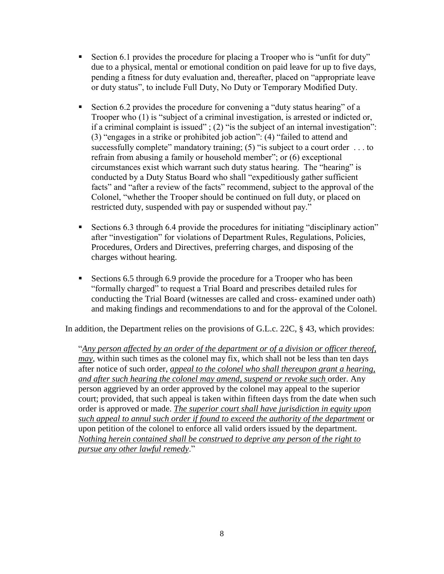- Section 6.1 provides the procedure for placing a Trooper who is "unfit for duty" due to a physical, mental or emotional condition on paid leave for up to five days, pending a fitness for duty evaluation and, thereafter, placed on "appropriate leave or duty status", to include Full Duty, No Duty or Temporary Modified Duty.
- Section 6.2 provides the procedure for convening a "duty status hearing" of a Trooper who (1) is "subject of a criminal investigation, is arrested or indicted or, if a criminal complaint is issued";  $(2)$  "is the subject of an internal investigation": (3) "engages in a strike or prohibited job action": (4) "failed to attend and successfully complete" mandatory training; (5) "is subject to a court order  $\dots$  to refrain from abusing a family or household member"; or (6) exceptional circumstances exist which warrant such duty status hearing. The "hearing" is conducted by a Duty Status Board who shall "expeditiously gather sufficient facts" and "after a review of the facts" recommend, subject to the approval of the Colonel, "whether the Trooper should be continued on full duty, or placed on restricted duty, suspended with pay or suspended without pay."
- Sections 6.3 through 6.4 provide the procedures for initiating "disciplinary action" after "investigation" for violations of Department Rules, Regulations, Policies, Procedures, Orders and Directives, preferring charges, and disposing of the charges without hearing.
- Sections 6.5 through 6.9 provide the procedure for a Trooper who has been "formally charged" to request a Trial Board and prescribes detailed rules for conducting the Trial Board (witnesses are called and cross- examined under oath) and making findings and recommendations to and for the approval of the Colonel.

In addition, the Department relies on the provisions of G.L.c. 22C, § 43, which provides:

"*Any person affected by an order of the department or of a division or officer thereof, may*, within such times as the colonel may fix, which shall not be less than ten days after notice of such order, *appeal to the colonel who shall thereupon grant a hearing, and after such hearing the colonel may amend, suspend or revoke such* order. Any person aggrieved by an order approved by the colonel may appeal to the superior court; provided, that such appeal is taken within fifteen days from the date when such order is approved or made. *The superior court shall have jurisdiction in equity upon such appeal to annul such order if found to exceed the authority of the department* or upon petition of the colonel to enforce all valid orders issued by the department. *Nothing herein contained shall be construed to deprive any person of the right to pursue any other lawful remedy*."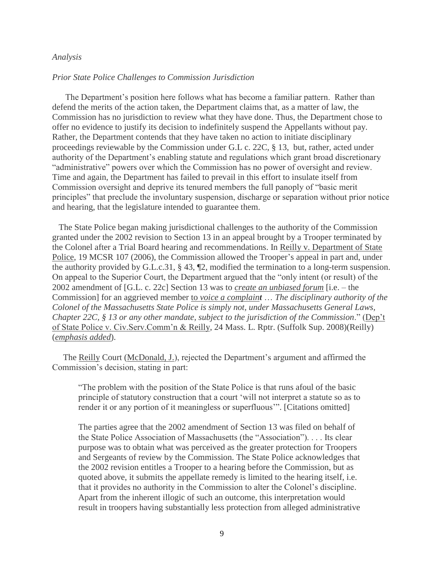#### *Analysis*

#### *Prior State Police Challenges to Commission Jurisdiction*

The Department's position here follows what has become a familiar pattern. Rather than defend the merits of the action taken, the Department claims that, as a matter of law, the Commission has no jurisdiction to review what they have done. Thus, the Department chose to offer no evidence to justify its decision to indefinitely suspend the Appellants without pay. Rather, the Department contends that they have taken no action to initiate disciplinary proceedings reviewable by the Commission under G.L c. 22C, § 13, but, rather, acted under authority of the Department's enabling statute and regulations which grant broad discretionary "administrative" powers over which the Commission has no power of oversight and review. Time and again, the Department has failed to prevail in this effort to insulate itself from Commission oversight and deprive its tenured members the full panoply of "basic merit principles" that preclude the involuntary suspension, discharge or separation without prior notice and hearing, that the legislature intended to guarantee them.

 The State Police began making jurisdictional challenges to the authority of the Commission granted under the 2002 revision to Section 13 in an appeal brought by a Trooper terminated by the Colonel after a Trial Board hearing and recommendations. In Reilly v. Department of State Police, 19 MCSR 107 (2006), the Commission allowed the Trooper's appeal in part and, under the authority provided by G.L.c.31, § 43, ¶2, modified the termination to a long-term suspension. On appeal to the Superior Court, the Department argued that the "only intent (or result) of the 2002 amendment of [G.L. c. 22c] Section 13 was to *create an unbiased forum* [i.e. – the Commission] for an aggrieved member to *voice a complaint* … *The disciplinary authority of the Colonel of the Massachusetts State Police is simply not, under Massachusetts General Laws, Chapter 22C, § 13 or any other mandate, subject to the jurisdiction of the Commission*." (Dep't of State Police v. Civ.Serv.Comm'n & Reilly, 24 Mass. L. Rptr. (Suffolk Sup. 2008)(Reilly) (*emphasis added*).

 The Reilly Court (McDonald, J.), rejected the Department's argument and affirmed the Commission's decision, stating in part:

"The problem with the position of the State Police is that runs afoul of the basic principle of statutory construction that a court 'will not interpret a statute so as to render it or any portion of it meaningless or superfluous'". [Citations omitted]

The parties agree that the 2002 amendment of Section 13 was filed on behalf of the State Police Association of Massachusetts (the "Association"). . . . Its clear purpose was to obtain what was perceived as the greater protection for Troopers and Sergeants of review by the Commission. The State Police acknowledges that the 2002 revision entitles a Trooper to a hearing before the Commission, but as quoted above, it submits the appellate remedy is limited to the hearing itself, i.e. that it provides no authority in the Commission to alter the Colonel's discipline. Apart from the inherent illogic of such an outcome, this interpretation would result in troopers having substantially less protection from alleged administrative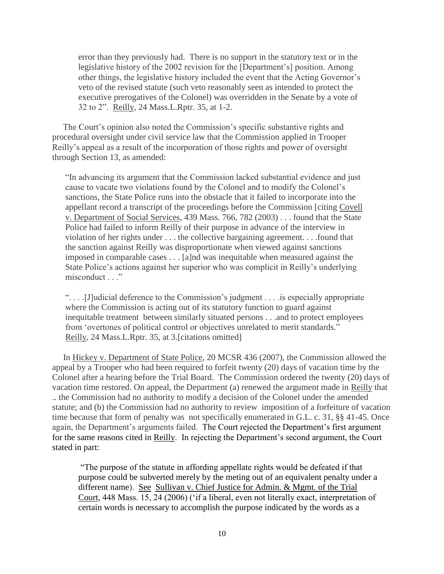error than they previously had. There is no support in the statutory text or in the legislative history of the 2002 revision for the [Department's] position. Among other things, the legislative history included the event that the Acting Governor's veto of the revised statute (such veto reasonably seen as intended to protect the executive prerogatives of the Colonel) was overridden in the Senate by a vote of 32 to 2". Reilly, 24 Mass.L.Rptr. 35, at 1-2.

 The Court's opinion also noted the Commission's specific substantive rights and procedural oversight under civil service law that the Commission applied in Trooper Reilly's appeal as a result of the incorporation of those rights and power of oversight through Section 13, as amended:

"In advancing its argument that the Commission lacked substantial evidence and just cause to vacate two violations found by the Colonel and to modify the Colonel's sanctions, the State Police runs into the obstacle that it failed to incorporate into the appellant record a transcript of the proceedings before the Commission [citing Covell v. Department of Social Services, 439 Mass. 766, 782 (2003) . . . found that the State Police had failed to inform Reilly of their purpose in advance of the interview in violation of her rights under . . . the collective bargaining agreement. . . .found that the sanction against Reilly was disproportionate when viewed against sanctions imposed in comparable cases . . . [a]nd was inequitable when measured against the State Police's actions against her superior who was complicit in Reilly's underlying misconduct . . ."

". . . .[J]udicial deference to the Commission's judgment . . . .is especially appropriate where the Commission is acting out of its statutory function to guard against inequitable treatment between similarly situated persons . . .and to protect employees from 'overtones of political control or objectives unrelated to merit standards." Reilly, 24 Mass.L.Rptr. 35, at 3.[citations omitted]

 In Hickey v. Department of State Police, 20 MCSR 436 (2007), the Commission allowed the appeal by a Trooper who had been required to forfeit twenty (20) days of vacation time by the Colonel after a hearing before the Trial Board. The Commission ordered the twenty (20) days of vacation time restored. On appeal, the Department (a) renewed the argument made in Reilly that .. the Commission had no authority to modify a decision of the Colonel under the amended statute; and (b) the Commission had no authority to review imposition of a forfeiture of vacation time because that form of penalty was not specifically enumerated in G.L. c. 31, §§ 41-45. Once again, the Department's arguments failed. The Court rejected the Department's first argument for the same reasons cited in Reilly. In rejecting the Department's second argument, the Court stated in part:

"The purpose of the statute in affording appellate rights would be defeated if that purpose could be subverted merely by the meting out of an equivalent penalty under a different name). See Sullivan v. Chief Justice for Admin. & Mgmt. of the Trial Court, 448 Mass. 15, 24 (2006) ('if a liberal, even not literally exact, interpretation of certain words is necessary to accomplish the purpose indicated by the words as a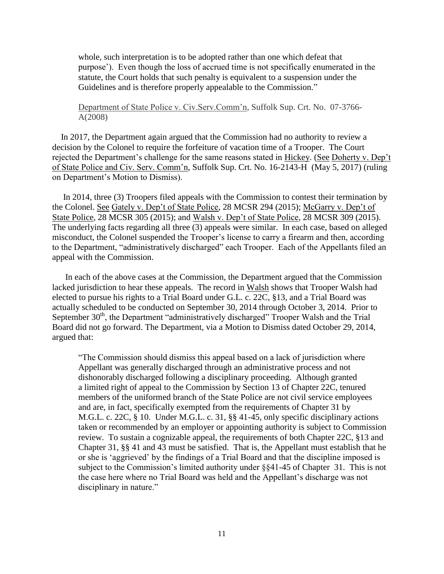whole, such interpretation is to be adopted rather than one which defeat that purpose'). Even though the loss of accrued time is not specifically enumerated in the statute, the Court holds that such penalty is equivalent to a suspension under the Guidelines and is therefore properly appealable to the Commission."

Department of State Police v. Civ.Serv.Comm'n, Suffolk Sup. Crt. No. 07-3766- A(2008)

 In 2017, the Department again argued that the Commission had no authority to review a decision by the Colonel to require the forfeiture of vacation time of a Trooper. The Court rejected the Department's challenge for the same reasons stated in Hickey. (See Doherty v. Dep't of State Police and Civ. Serv. Comm'n, Suffolk Sup. Crt. No. 16-2143-H (May 5, 2017) (ruling on Department's Motion to Dismiss).

 In 2014, three (3) Troopers filed appeals with the Commission to contest their termination by the Colonel. See Gately v. Dep't of State Police, 28 MCSR 294 (2015); McGarry v. Dep't of State Police, 28 MCSR 305 (2015); and Walsh v. Dep't of State Police, 28 MCSR 309 (2015). The underlying facts regarding all three (3) appeals were similar. In each case, based on alleged misconduct, the Colonel suspended the Trooper's license to carry a firearm and then, according to the Department, "administratively discharged" each Trooper. Each of the Appellants filed an appeal with the Commission.

 In each of the above cases at the Commission, the Department argued that the Commission lacked jurisdiction to hear these appeals. The record in Walsh shows that Trooper Walsh had elected to pursue his rights to a Trial Board under G.L. c. 22C, §13, and a Trial Board was actually scheduled to be conducted on September 30, 2014 through October 3, 2014. Prior to September  $30<sup>th</sup>$ , the Department "administratively discharged" Trooper Walsh and the Trial Board did not go forward. The Department, via a Motion to Dismiss dated October 29, 2014, argued that:

"The Commission should dismiss this appeal based on a lack of jurisdiction where Appellant was generally discharged through an administrative process and not dishonorably discharged following a disciplinary proceeding. Although granted a limited right of appeal to the Commission by Section 13 of Chapter 22C, tenured members of the uniformed branch of the State Police are not civil service employees and are, in fact, specifically exempted from the requirements of Chapter 31 by M.G.L. c. 22C, § 10. Under M.G.L. c. 31, §§ 41-45, only specific disciplinary actions taken or recommended by an employer or appointing authority is subject to Commission review. To sustain a cognizable appeal, the requirements of both Chapter 22C, §13 and Chapter 31, §§ 41 and 43 must be satisfied. That is, the Appellant must establish that he or she is 'aggrieved' by the findings of a Trial Board and that the discipline imposed is subject to the Commission's limited authority under §§41-45 of Chapter 31. This is not the case here where no Trial Board was held and the Appellant's discharge was not disciplinary in nature."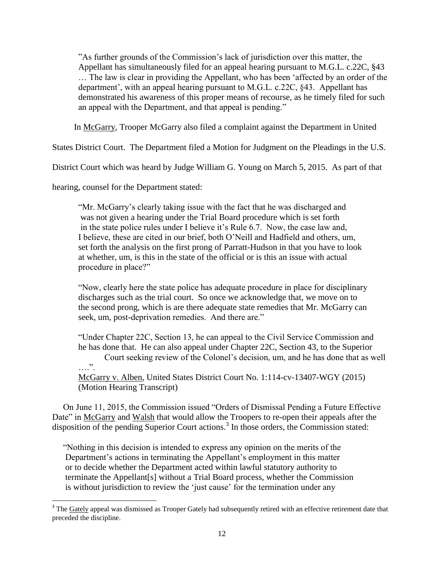"As further grounds of the Commission's lack of jurisdiction over this matter, the Appellant has simultaneously filed for an appeal hearing pursuant to M.G.L. c.22C, §43 … The law is clear in providing the Appellant, who has been 'affected by an order of the department', with an appeal hearing pursuant to M.G.L. c.22C, §43. Appellant has demonstrated his awareness of this proper means of recourse, as he timely filed for such an appeal with the Department, and that appeal is pending."

In McGarry, Trooper McGarry also filed a complaint against the Department in United

States District Court. The Department filed a Motion for Judgment on the Pleadings in the U.S.

District Court which was heard by Judge William G. Young on March 5, 2015. As part of that

hearing, counsel for the Department stated:

"Mr. McGarry's clearly taking issue with the fact that he was discharged and was not given a hearing under the Trial Board procedure which is set forth in the state police rules under I believe it's Rule 6.7. Now, the case law and, I believe, these are cited in our brief, both O'Neill and Hadfield and others, um, set forth the analysis on the first prong of Parratt-Hudson in that you have to look at whether, um, is this in the state of the official or is this an issue with actual procedure in place?"

"Now, clearly here the state police has adequate procedure in place for disciplinary discharges such as the trial court. So once we acknowledge that, we move on to the second prong, which is are there adequate state remedies that Mr. McGarry can seek, um, post-deprivation remedies. And there are."

"Under Chapter 22C, Section 13, he can appeal to the Civil Service Commission and he has done that. He can also appeal under Chapter 22C, Section 43, to the Superior Court seeking review of the Colonel's decision, um, and he has done that as well ….".

McGarry v. Alben, United States District Court No. 1:114-cv-13407-WGY (2015) (Motion Hearing Transcript)

 On June 11, 2015, the Commission issued "Orders of Dismissal Pending a Future Effective Date" in McGarry and Walsh that would allow the Troopers to re-open their appeals after the disposition of the pending Superior Court actions.<sup>3</sup> In those orders, the Commission stated:

 "Nothing in this decision is intended to express any opinion on the merits of the Department's actions in terminating the Appellant's employment in this matter or to decide whether the Department acted within lawful statutory authority to terminate the Appellant[s] without a Trial Board process, whether the Commission is without jurisdiction to review the 'just cause' for the termination under any

<sup>&</sup>lt;sup>3</sup> The <u>Gately</u> appeal was dismissed as Trooper Gately had subsequently retired with an effective retirement date that preceded the discipline.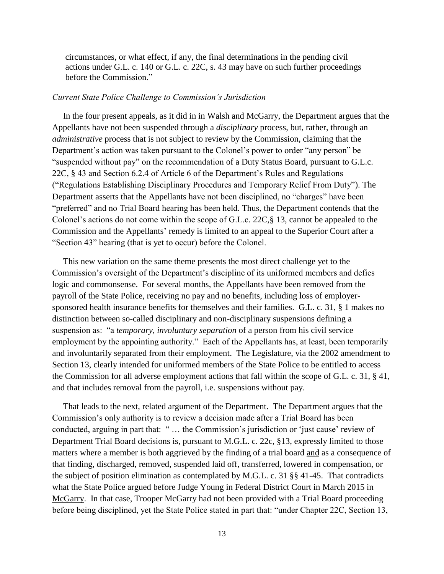circumstances, or what effect, if any, the final determinations in the pending civil actions under G.L. c. 140 or G.L. c. 22C, s. 43 may have on such further proceedings before the Commission."

#### *Current State Police Challenge to Commission's Jurisdiction*

 In the four present appeals, as it did in in Walsh and McGarry, the Department argues that the Appellants have not been suspended through a *disciplinary* process, but, rather, through an *administrative* process that is not subject to review by the Commission, claiming that the Department's action was taken pursuant to the Colonel's power to order "any person" be "suspended without pay" on the recommendation of a Duty Status Board, pursuant to G.L.c. 22C, § 43 and Section 6.2.4 of Article 6 of the Department's Rules and Regulations ("Regulations Establishing Disciplinary Procedures and Temporary Relief From Duty"). The Department asserts that the Appellants have not been disciplined, no "charges" have been "preferred" and no Trial Board hearing has been held. Thus, the Department contends that the Colonel's actions do not come within the scope of G.L.c. 22C,§ 13, cannot be appealed to the Commission and the Appellants' remedy is limited to an appeal to the Superior Court after a "Section 43" hearing (that is yet to occur) before the Colonel.

 This new variation on the same theme presents the most direct challenge yet to the Commission's oversight of the Department's discipline of its uniformed members and defies logic and commonsense. For several months, the Appellants have been removed from the payroll of the State Police, receiving no pay and no benefits, including loss of employersponsored health insurance benefits for themselves and their families. G.L. c. 31, § 1 makes no distinction between so-called disciplinary and non-disciplinary suspensions defining a suspension as: "a *temporary, involuntary separation* of a person from his civil service employment by the appointing authority." Each of the Appellants has, at least, been temporarily and involuntarily separated from their employment. The Legislature, via the 2002 amendment to Section 13, clearly intended for uniformed members of the State Police to be entitled to access the Commission for all adverse employment actions that fall within the scope of G.L. c. 31, § 41, and that includes removal from the payroll, i.e. suspensions without pay.

 That leads to the next, related argument of the Department. The Department argues that the Commission's only authority is to review a decision made after a Trial Board has been conducted, arguing in part that: " … the Commission's jurisdiction or 'just cause' review of Department Trial Board decisions is, pursuant to M.G.L. c. 22c, §13, expressly limited to those matters where a member is both aggrieved by the finding of a trial board and as a consequence of that finding, discharged, removed, suspended laid off, transferred, lowered in compensation, or the subject of position elimination as contemplated by M.G.L. c. 31 §§ 41-45. That contradicts what the State Police argued before Judge Young in Federal District Court in March 2015 in McGarry. In that case, Trooper McGarry had not been provided with a Trial Board proceeding before being disciplined, yet the State Police stated in part that: "under Chapter 22C, Section 13,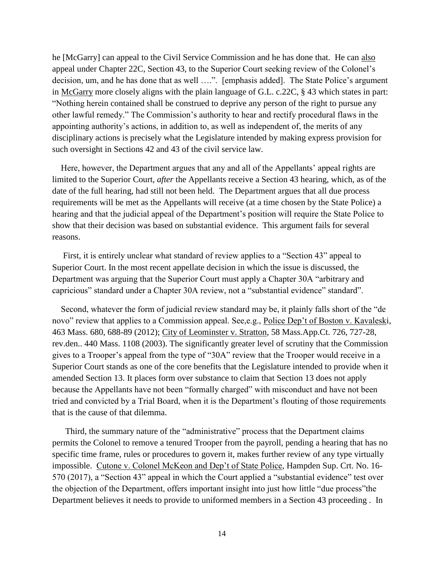he [McGarry] can appeal to the Civil Service Commission and he has done that. He can also appeal under Chapter 22C, Section 43, to the Superior Court seeking review of the Colonel's decision, um, and he has done that as well ….". [emphasis added]. The State Police's argument in McGarry more closely aligns with the plain language of G.L. c.22C, § 43 which states in part: "Nothing herein contained shall be construed to deprive any person of the right to pursue any other lawful remedy." The Commission's authority to hear and rectify procedural flaws in the appointing authority's actions, in addition to, as well as independent of, the merits of any disciplinary actions is precisely what the Legislature intended by making express provision for such oversight in Sections 42 and 43 of the civil service law.

 Here, however, the Department argues that any and all of the Appellants' appeal rights are limited to the Superior Court, *after* the Appellants receive a Section 43 hearing, which, as of the date of the full hearing, had still not been held. The Department argues that all due process requirements will be met as the Appellants will receive (at a time chosen by the State Police) a hearing and that the judicial appeal of the Department's position will require the State Police to show that their decision was based on substantial evidence. This argument fails for several reasons.

 First, it is entirely unclear what standard of review applies to a "Section 43" appeal to Superior Court. In the most recent appellate decision in which the issue is discussed, the Department was arguing that the Superior Court must apply a Chapter 30A "arbitrary and capricious" standard under a Chapter 30A review, not a "substantial evidence" standard".

 Second, whatever the form of judicial review standard may be, it plainly falls short of the "de novo" review that applies to a Commission appeal. See, e.g., Police Dep't of Boston v. Kavaleski, 463 Mass. 680, 688-89 (2012); City of Leominster v. Stratton, 58 Mass.App.Ct. 726, 727-28, rev.den.. 440 Mass. 1108 (2003). The significantly greater level of scrutiny that the Commission gives to a Trooper's appeal from the type of "30A" review that the Trooper would receive in a Superior Court stands as one of the core benefits that the Legislature intended to provide when it amended Section 13. It places form over substance to claim that Section 13 does not apply because the Appellants have not been "formally charged" with misconduct and have not been tried and convicted by a Trial Board, when it is the Department's flouting of those requirements that is the cause of that dilemma.

 Third, the summary nature of the "administrative" process that the Department claims permits the Colonel to remove a tenured Trooper from the payroll, pending a hearing that has no specific time frame, rules or procedures to govern it, makes further review of any type virtually impossible. Cutone v. Colonel McKeon and Dep't of State Police, Hampden Sup. Crt. No. 16- 570 (2017), a "Section 43" appeal in which the Court applied a "substantial evidence" test over the objection of the Department, offers important insight into just how little "due process"the Department believes it needs to provide to uniformed members in a Section 43 proceeding . In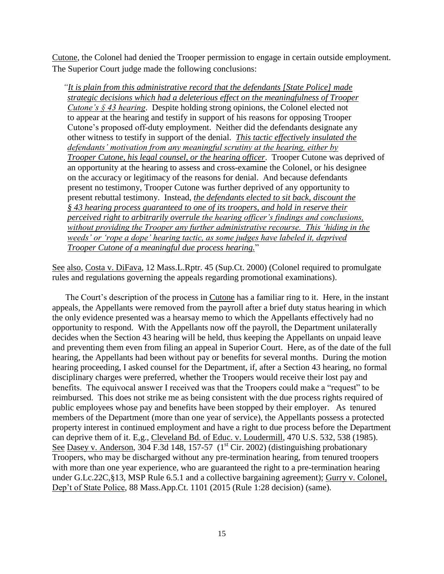Cutone, the Colonel had denied the Trooper permission to engage in certain outside employment. The Superior Court judge made the following conclusions:

 *"It is plain from this administrative record that the defendants [State Police] made strategic decisions which had a deleterious effect on the meaningfulness of Trooper Cutone's § 43 hearing.* Despite holding strong opinions, the Colonel elected not to appear at the hearing and testify in support of his reasons for opposing Trooper Cutone's proposed off-duty employment. Neither did the defendants designate any other witness to testify in support of the denial. *This tactic effectively insulated the defendants' motivation from any meaningful scrutiny at the hearing, either by Trooper Cutone, his legal counsel, or the hearing officer*. Trooper Cutone was deprived of an opportunity at the hearing to assess and cross-examine the Colonel, or his designee on the accuracy or legitimacy of the reasons for denial. And because defendants present no testimony, Trooper Cutone was further deprived of any opportunity to present rebuttal testimony. Instead, *the defendants elected to sit back, discount the § 43 hearing process guaranteed to one of its troopers, and hold in reserve their perceived right to arbitrarily overrule the hearing officer's findings and conclusions, without providing the Trooper any further administrative recourse. This 'hiding in the weeds' or 'rope a dope' hearing tactic, as some judges have labeled it, deprived Trooper Cutone of a meaningful due process hearing.*"

See also, Costa v. DiFava, 12 Mass.L.Rptr. 45 (Sup.Ct. 2000) (Colonel required to promulgate rules and regulations governing the appeals regarding promotional examinations).

 The Court's description of the process in Cutone has a familiar ring to it. Here, in the instant appeals, the Appellants were removed from the payroll after a brief duty status hearing in which the only evidence presented was a hearsay memo to which the Appellants effectively had no opportunity to respond. With the Appellants now off the payroll, the Department unilaterally decides when the Section 43 hearing will be held, thus keeping the Appellants on unpaid leave and preventing them even from filing an appeal in Superior Court. Here, as of the date of the full hearing, the Appellants had been without pay or benefits for several months. During the motion hearing proceeding, I asked counsel for the Department, if, after a Section 43 hearing, no formal disciplinary charges were preferred, whether the Troopers would receive their lost pay and benefits. The equivocal answer I received was that the Troopers could make a "request" to be reimbursed. This does not strike me as being consistent with the due process rights required of public employees whose pay and benefits have been stopped by their employer. As tenured members of the Department (more than one year of service), the Appellants possess a protected property interest in continued employment and have a right to due process before the Department can deprive them of it. E,g., Cleveland Bd. of Educ. v. Loudermill, 470 U.S. 532, 538 (1985). See Dasey v. Anderson, 304 F.3d 148, 157-57 ( $1<sup>st</sup> Cir. 2002$ ) (distinguishing probationary Troopers, who may be discharged without any pre-termination hearing, from tenured troopers with more than one year experience, who are guaranteed the right to a pre-termination hearing under G.Lc.22C,§13, MSP Rule 6.5.1 and a collective bargaining agreement); Gurry v. Colonel, Dep't of State Police, 88 Mass.App.Ct. 1101 (2015 (Rule 1:28 decision) (same).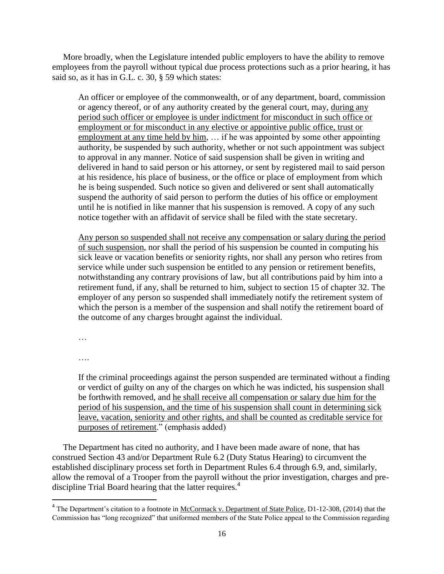More broadly, when the Legislature intended public employers to have the ability to remove employees from the payroll without typical due process protections such as a prior hearing, it has said so, as it has in G.L. c. 30, § 59 which states:

An officer or employee of the commonwealth, or of any department, board, commission or agency thereof, or of any authority created by the general court, may, during any period such officer or employee is under indictment for misconduct in such office or employment or for misconduct in any elective or appointive public office, trust or employment at any time held by him, … if he was appointed by some other appointing authority, be suspended by such authority, whether or not such appointment was subject to approval in any manner. Notice of said suspension shall be given in writing and delivered in hand to said person or his attorney, or sent by registered mail to said person at his residence, his place of business, or the office or place of employment from which he is being suspended. Such notice so given and delivered or sent shall automatically suspend the authority of said person to perform the duties of his office or employment until he is notified in like manner that his suspension is removed. A copy of any such notice together with an affidavit of service shall be filed with the state secretary.

Any person so suspended shall not receive any compensation or salary during the period of such suspension, nor shall the period of his suspension be counted in computing his sick leave or vacation benefits or seniority rights, nor shall any person who retires from service while under such suspension be entitled to any pension or retirement benefits, notwithstanding any contrary provisions of law, but all contributions paid by him into a retirement fund, if any, shall be returned to him, subject to section 15 of chapter 32. The employer of any person so suspended shall immediately notify the retirement system of which the person is a member of the suspension and shall notify the retirement board of the outcome of any charges brought against the individual.

…

….

 $\overline{\phantom{a}}$ 

If the criminal proceedings against the person suspended are terminated without a finding or verdict of guilty on any of the charges on which he was indicted, his suspension shall be forthwith removed, and he shall receive all compensation or salary due him for the period of his suspension, and the time of his suspension shall count in determining sick leave, vacation, seniority and other rights, and shall be counted as creditable service for purposes of retirement." (emphasis added)

 The Department has cited no authority, and I have been made aware of none, that has construed Section 43 and/or Department Rule 6.2 (Duty Status Hearing) to circumvent the established disciplinary process set forth in Department Rules 6.4 through 6.9, and, similarly, allow the removal of a Trooper from the payroll without the prior investigation, charges and prediscipline Trial Board hearing that the latter requires.<sup>4</sup>

<sup>&</sup>lt;sup>4</sup> The Department's citation to a footnote in McCormack v. Department of State Police, D1-12-308, (2014) that the Commission has "long recognized" that uniformed members of the State Police appeal to the Commission regarding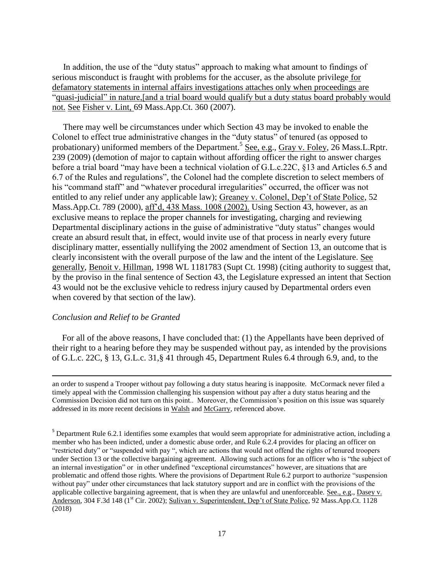In addition, the use of the "duty status" approach to making what amount to findings of serious misconduct is fraught with problems for the accuser, as the absolute privilege for defamatory statements in internal affairs investigations attaches only when proceedings are "quasi-judicial" in nature,[and a trial board would qualify but a duty status board probably would not. See Fisher v. Lint, 69 Mass.App.Ct. 360 (2007).

 There may well be circumstances under which Section 43 may be invoked to enable the Colonel to effect true administrative changes in the "duty status" of tenured (as opposed to probationary) uniformed members of the Department.<sup>5</sup> See, e.g., Gray v. Foley, 26 Mass.L.Rptr. 239 (2009) (demotion of major to captain without affording officer the right to answer charges before a trial board "may have been a technical violation of G.L.c.22C, §13 and Articles 6.5 and 6.7 of the Rules and regulations", the Colonel had the complete discretion to select members of his "command staff" and "whatever procedural irregularities" occurred, the officer was not entitled to any relief under any applicable law); Greaney v. Colonel, Dep't of State Police, 52 Mass.App.Ct. 789 (2000), aff'd, 438 Mass. 1008 (2002). Using Section 43, however, as an exclusive means to replace the proper channels for investigating, charging and reviewing Departmental disciplinary actions in the guise of administrative "duty status" changes would create an absurd result that, in effect, would invite use of that process in nearly every future disciplinary matter, essentially nullifying the 2002 amendment of Section 13, an outcome that is clearly inconsistent with the overall purpose of the law and the intent of the Legislature. See generally, Benoit v. Hillman, 1998 WL 1181783 (Supt Ct. 1998) (citing authority to suggest that, by the proviso in the final sentence of Section 43, the Legislature expressed an intent that Section 43 would not be the exclusive vehicle to redress injury caused by Departmental orders even when covered by that section of the law).

#### *Conclusion and Relief to be Granted*

l

 For all of the above reasons, I have concluded that: (1) the Appellants have been deprived of their right to a hearing before they may be suspended without pay, as intended by the provisions of G.L.c. 22C, § 13, G.L.c. 31,§ 41 through 45, Department Rules 6.4 through 6.9, and, to the

an order to suspend a Trooper without pay following a duty status hearing is inapposite. McCormack never filed a timely appeal with the Commission challenging his suspension without pay after a duty status hearing and the Commission Decision did not turn on this point.. Moreover, the Commission's position on this issue was squarely addressed in its more recent decisions in Walsh and McGarry, referenced above.

<sup>&</sup>lt;sup>5</sup> Department Rule 6.2.1 identifies some examples that would seem appropriate for administrative action, including a member who has been indicted, under a domestic abuse order, and Rule 6.2.4 provides for placing an officer on "restricted duty" or "suspended with pay ", which are actions that would not offend the rights of tenured troopers under Section 13 or the collective bargaining agreement. Allowing such actions for an officer who is "the subject of an internal investigation" or in other undefined "exceptional circumstances" however, are situations that are problematic and offend those rights. Where the provisions of Department Rule 6.2 purport to authorize "suspension without pay" under other circumstances that lack statutory support and are in conflict with the provisions of the applicable collective bargaining agreement, that is when they are unlawful and unenforceable. See., e.g., Dasey v. Anderson, 304 F.3d 148 (1<sup>st</sup> Cir. 2002); Sulivan v. Superintendent, Dep't of State Police, 92 Mass.App.Ct. 1128 (2018)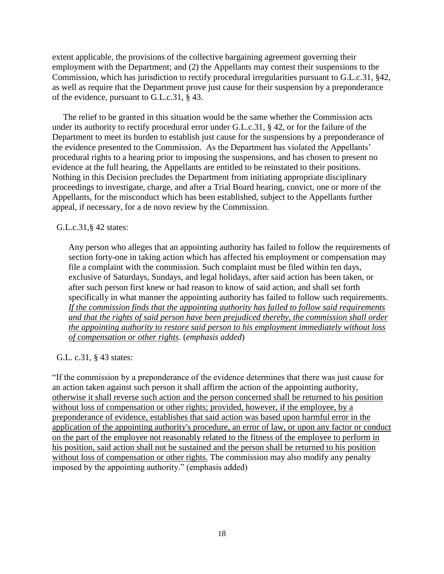extent applicable, the provisions of the collective bargaining agreement governing their employment with the Department; and (2) the Appellants may contest their suspensions to the Commission, which has jurisdiction to rectify procedural irregularities pursuant to G.L.c.31, §42, as well as require that the Department prove just cause for their suspension by a preponderance of the evidence, pursuant to G.L.c.31, § 43.

 The relief to be granted in this situation would be the same whether the Commission acts under its authority to rectify procedural error under G.L.c.31, § 42, or for the failure of the Department to meet its burden to establish just cause for the suspensions by a preponderance of the evidence presented to the Commission. As the Department has violated the Appellants' procedural rights to a hearing prior to imposing the suspensions, and has chosen to present no evidence at the full hearing, the Appellants are entitled to be reinstated to their positions. Nothing in this Decision precludes the Department from initiating appropriate disciplinary proceedings to investigate, charge, and after a Trial Board hearing, convict, one or more of the Appellants, for the misconduct which has been established, subject to the Appellants further appeal, if necessary, for a de novo review by the Commission.

# G.L.c.31,§ 42 states:

Any person who alleges that an appointing authority has failed to follow the requirements of section forty-one in taking action which has affected his employment or compensation may file a complaint with the commission. Such complaint must be filed within ten days, exclusive of Saturdays, Sundays, and legal holidays, after said action has been taken, or after such person first knew or had reason to know of said action, and shall set forth specifically in what manner the appointing authority has failed to follow such requirements. *If the commission finds that the appointing authority has failed to follow said requirements and that the rights of said person have been prejudiced thereby, the commission shall order the appointing authority to restore said person to his employment immediately without loss of compensation or other rights*. (*emphasis added*)

# G.L. c.31, § 43 states:

"If the commission by a preponderance of the evidence determines that there was just cause for an action taken against such person it shall affirm the action of the appointing authority, otherwise it shall reverse such action and the person concerned shall be returned to his position without loss of compensation or other rights; provided, however, if the employee, by a preponderance of evidence, establishes that said action was based upon harmful error in the application of the appointing authority's procedure, an error of law, or upon any factor or conduct on the part of the employee not reasonably related to the fitness of the employee to perform in his position, said action shall not be sustained and the person shall be returned to his position without loss of compensation or other rights. The commission may also modify any penalty imposed by the appointing authority." (emphasis added)